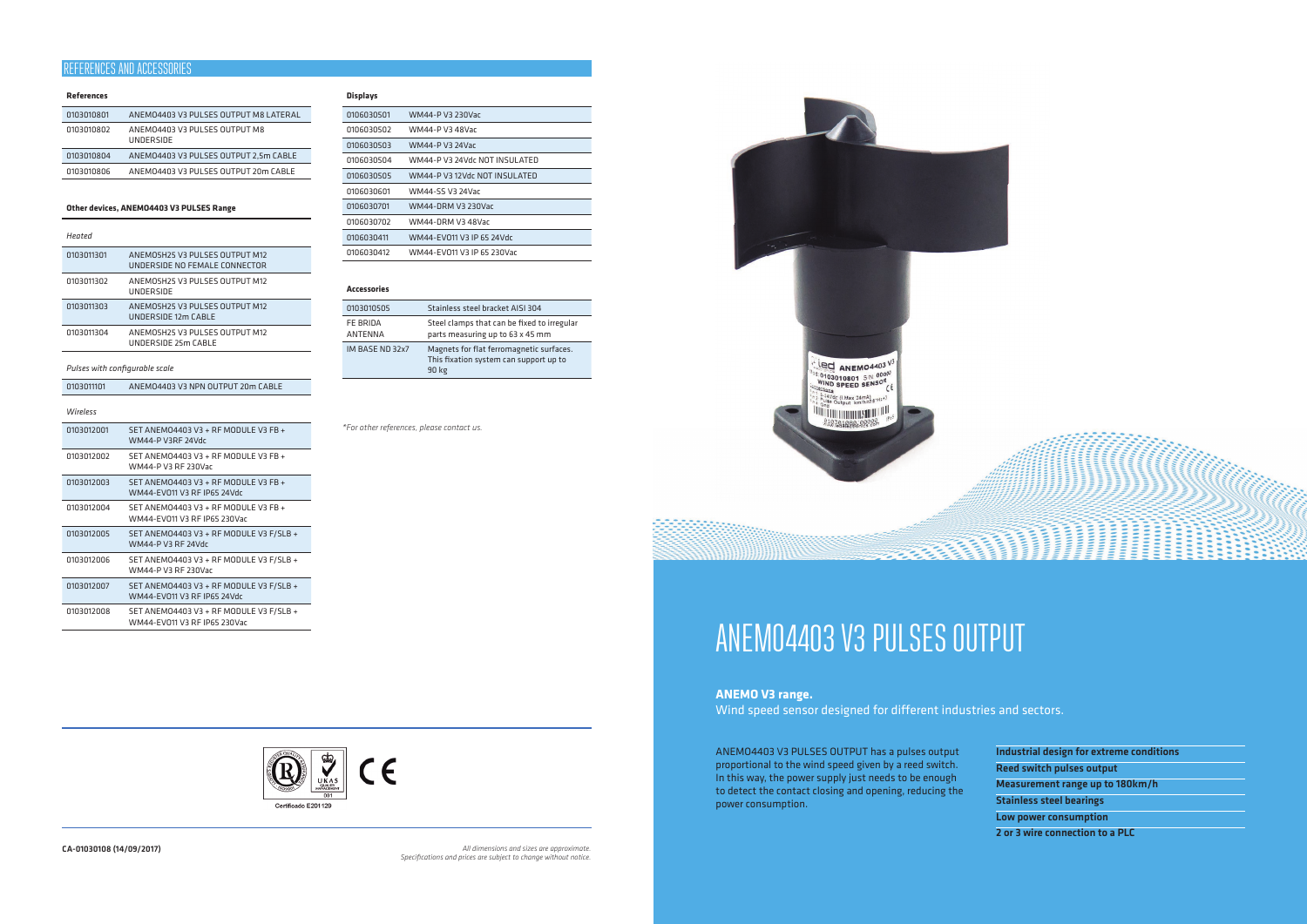#### **References**

| 0103010801 | ANEMO4403 V3 PULSES OUTPUT M8 LATERAL             |
|------------|---------------------------------------------------|
| 0103010802 | ANEMO4403 V3 PULSES OUTPUT M8<br><b>UNDERSIDE</b> |
| 0103010804 | ANEMO4403 V3 PULSES OUTPUT 2.5m CABLE             |
| 0103010806 | ANEMO4403 V3 PULSES OUTPUT 20m CABLE              |

#### **Other devices, ANEMO4403 V3 PULSES Range**

| Hented     |                                                                 |
|------------|-----------------------------------------------------------------|
| 0103011301 | ANFMO5H25 V3 PULSES OUTPUT M12<br>UNDERSIDE NO FEMALE CONNECTOR |
| 0103011302 | ANEMO5H25 V3 PULSES OUTPUT M12<br>UNDERSIDE                     |
| 0103011303 | ANEMOSH25 V3 PULSES OUTPUT M12<br>UNDERSIDE 12m CABLE           |
| 0103011304 | ANEMOSH25 V3 PULSES OUTPUT M12<br>UNDERSIDE 25m CABLE           |
|            |                                                                 |

#### *Pulses with configurable scale*

| ANEMO4403 V3 NPN OUTPUT 20m CABLE<br>0103011101 |  |
|-------------------------------------------------|--|
|-------------------------------------------------|--|

#### *Wireless*

| 0103012001 | SET ANEMO4403 V3 + RF MODULE V3 FB +<br>WM44-P V3RF 24Vdc               |
|------------|-------------------------------------------------------------------------|
| 0103012002 | SET ANEMO4403 V3 + RF MODULE V3 FB +<br>WM44-P V3 RF 230Vac             |
| 0103012003 | SET ANEMO4403 V3 + RF MODULE V3 FB +<br>WM44-FV011 V3 RF IP65 24Vdc     |
| 0103012004 | SET ANEMO4403 V3 + RF MODULE V3 FB +<br>WM44-EV011 V3 RF IP65 230Vac    |
| 0103012005 | SET ANEMO4403 V3 + RF MODULE V3 F/SLB +<br>WM44-P V3 RF 24Vdr           |
| 0103012006 | SET ANEMO4403 V3 + RF MODULE V3 F/SLB +<br>WM44-P V3 RF 230Var          |
| 0103012007 | SET ANEMO4403 V3 + RF MODULE V3 F/SLB +<br>WM44-EV011 V3 RF IP65 24Vdc  |
| 0103012008 | SET ANEMO4403 V3 + RF MODULE V3 F/SLB +<br>WM44-FV011 V3 RF IP65 230Vac |

#### **Displays**

| 0106030501 | WM44-P V3 230Vac              |
|------------|-------------------------------|
| 0106030502 | WM44-P V3 48Var               |
| 0106030503 | <b>WM44-P V3 24Vac</b>        |
| 0106030504 | WM44-P V3 24Vdr NOT INSULATED |
| 0106030505 | WM44-P V3 12Vdc NOT INSULATED |
| 0106030601 | WM44-SS V3 24Var              |
| 0106030701 | WM44-DRM V3 230Var            |
| 0106030702 | WM44-DRM V3 48Var             |
| 0106030411 | WM44-FV011 V3 IP 65 24Vdc     |
| 0106030412 | WM44-FV011 V3 IP 65 230Vac    |

#### **Accessories**

| 0103010505                 | Stainless steel bracket AISI 304                                                                   |
|----------------------------|----------------------------------------------------------------------------------------------------|
| FE BRIDA<br><b>ANTENNA</b> | Steel clamps that can be fixed to irregular<br>parts measuring up to 63 x 45 mm                    |
| IM BASE ND 32x7            | Magnets for flat ferromagnetic surfaces.<br>This fixation system can support up to<br><b>90 kg</b> |

ANEMO4403 V3 PULSES OUTPUT has a pulses output proportional to the wind speed given by a reed switch. In this way, the power supply just needs to be enough to detect the contact closing and opening, reducing the power consumption.



| Industrial design for extreme conditions |
|------------------------------------------|
| <b>Reed switch pulses output</b>         |
| Measurement range up to 180km/h          |
| <b>Stainless steel bearings</b>          |
| Low power consumption                    |
| 2 or 3 wire connection to a PLC          |

# ANEMO4403 V3 PULSES OUTPUT

# **ANEMO V3 range.**

Wind speed sensor designed for different industries and sectors.

CA-01030108 (14/09/2017) *All dimensions and sizes are approximate. Specifications and prices are subject to change without notice.*



# REFERENCES AND ACCESSORIES

*\*For other references, please contact us.*